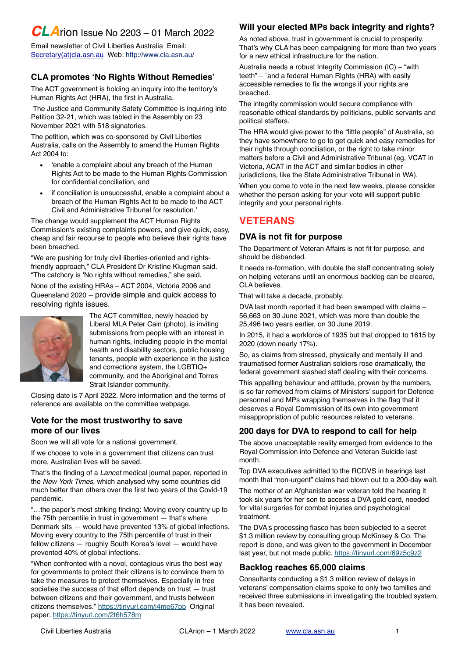# *CLA*rion Issue No 2203 – 01 March 2022

Email newsletter of Civil Liberties Australia Email: [Secretary\(at\)cla.asn.au](mailto:secretary@cla.asn.au?subject=email%20subject) Web:<http://www.cla.asn.au>/ \_\_\_\_\_\_\_\_\_\_\_\_\_\_\_\_\_\_\_\_\_\_\_\_\_\_\_\_\_\_\_\_\_\_\_\_\_\_\_\_\_\_\_\_

## **CLA promotes 'No Rights Without Remedies'**

The ACT government is holding an inquiry into the territory's Human Rights Act (HRA), the first in Australia.

The Justice and Community Safety Committee is inquiring into Petition 32-21, which was tabled in the Assembly on 23 November 2021 with 518 signatories.

The petition, which was co-sponsored by Civil Liberties Australia, calls on the Assembly to amend the Human Rights Act 2004 to:

- 'enable a complaint about any breach of the Human Rights Act to be made to the Human Rights Commission for confidential conciliation, and
- if conciliation is unsuccessful, enable a complaint about a breach of the Human Rights Act to be made to the ACT Civil and Administrative Tribunal for resolution.'

The change would supplement the ACT Human Rights Commission's existing complaints powers, and give quick, easy, cheap and fair recourse to people who believe their rights have been breached.

"We are pushing for truly civil liberties-oriented and rightsfriendly approach," CLA President Dr Kristine Klugman said. "The catchcry is 'No rights without remedies," she said.

None of the existing HRAs – ACT 2004, Victoria 2006 and Queensland 2020 – provide simple and quick access to resolving rights issues.



The ACT committee, newly headed by Liberal MLA Peter Cain (photo), is inviting submissions from people with an interest in human rights, including people in the mental health and disability sectors, public housing tenants, people with experience in the justice and corrections system, the LGBTIQ+ community, and the Aboriginal and Torres Strait Islander community.

Closing date is 7 April 2022. More information and the terms of reference are available on the committee webpage.

#### **Vote for the most trustworthy to save more of our lives**

Soon we will all vote for a national government.

If we choose to vote in a government that citizens can trust more, Australian lives will be saved.

That's the finding of a *Lancet* medical journal paper, reported in the *New York Times*, which analysed why some countries did much better than others over the first two years of the Covid-19 pandemic.

"…the paper's most striking finding: Moving every country up to the 75th percentile in trust in government — that's where Denmark sits — would have prevented 13% of global infections. Moving every country to the 75th percentile of trust in their fellow citizens — roughly South Korea's level — would have prevented 40% of global infections.

"When confronted with a novel, contagious virus the best way for governments to protect their citizens is to convince them to take the measures to protect themselves. Especially in free societies the success of that effort depends on trust — trust between citizens and their government, and trusts between citizens themselves." <https://tinyurl.com/j4me67pp> Original paper: <https://tinyurl.com/2t6h578m>

# **Will your elected MPs back integrity and rights?**

As noted above, trust in government is crucial to prosperity. That's why CLA has been campaigning for more than two years for a new ethical infrastructure for the nation.

Australia needs a robust Integrity Commission (IC) – "with teeth" – `and a federal Human Rights (HRA) with easily accessible remedies to fix the wrongs if your rights are breached.

The integrity commission would secure compliance with reasonable ethical standards by politicians, public servants and political staffers.

The HRA would give power to the "little people" of Australia, so they have somewhere to go to get quick and easy remedies for their rights through conciliation, or the right to take minor matters before a Civil and Administrative Tribunal (eg, VCAT in Victoria, ACAT in the ACT and similar bodies in other jurisdictions, like the State Administrative Tribunal in WA).

When you come to vote in the next few weeks, please consider whether the person asking for your vote will support public integrity and your personal rights.

# **VETERANS**

## **DVA is not fit for purpose**

The Department of Veteran Affairs is not fit for purpose, and should be disbanded.

It needs re-formation, with double the staff concentrating solely on helping veterans until an enormous backlog can be cleared, CLA believes.

That will take a decade, probably.

DVA last month reported it had been swamped with claims – 56,663 on 30 June 2021, which was more than double the 25,496 two years earlier, on 30 June 2019.

In 2015, it had a workforce of 1935 but that dropped to 1615 by 2020 (down nearly 17%).

So, as claims from stressed, physically and mentally ill and traumatised former Australian soldiers rose dramatically, the federal government slashed staff dealing with their concerns.

This appalling behaviour and attitude, proven by the numbers, is so far removed from claims of Ministers' support for Defence personnel and MPs wrapping themselves in the flag that it deserves a Royal Commission of its own into government misappropriation of public resources related to veterans.

# **200 days for DVA to respond to call for help**

The above unacceptable reality emerged from evidence to the Royal Commission into Defence and Veteran Suicide last month.

Top DVA executives admitted to the RCDVS in hearings last month that "non-urgent" claims had blown out to a 200-day wait.

The mother of an Afghanistan war veteran told the hearing it took six years for her son to access a DVA gold card, needed for vital surgeries for combat injuries and psychological treatment.

The DVA's processing fiasco has been subjected to a secret \$1.3 million review by consulting group McKinsey & Co. The report is done, and was given to the government in December last year, but not made public.<https://tinyurl.com/69z5c9z2>

# **Backlog reaches 65,000 claims**

Consultants conducting a \$1.3 million review of delays in veterans' compensation claims spoke to only two families and received three submissions in investigating the troubled system, it has been revealed.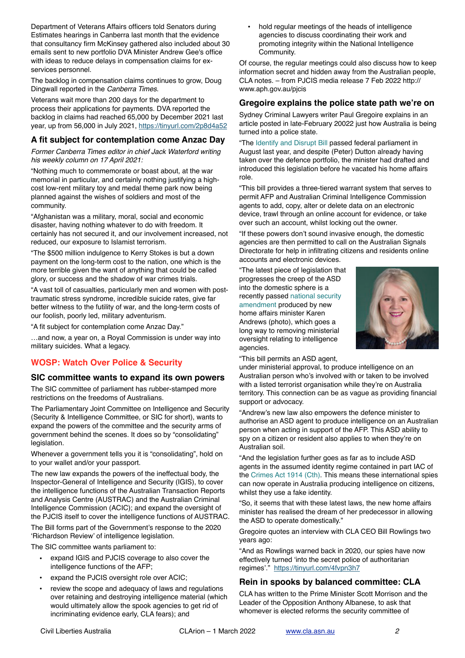Department of Veterans Affairs officers told Senators during Estimates hearings in Canberra last month that the evidence that consultancy firm McKinsey gathered also included about 30 emails sent to new portfolio DVA Minister Andrew Gee's office with ideas to reduce delays in compensation claims for exservices personnel.

The backlog in compensation claims continues to grow, Doug Dingwall reported in the *Canberra Times*.

Veterans wait more than 200 days for the department to process their applications for payments. DVA reported the backlog in claims had reached 65,000 by December 2021 last year, up from 56,000 in July 2021, <https://tinyurl.com/2p8d4a52>

#### **A fit subject for contemplation come Anzac Day**

*Former Canberra Times editor in chief Jack Waterford writing his weekly column on 17 April 2021:*

"Nothing much to commemorate or boast about, at the war memorial in particular, and certainly nothing justifying a highcost low-rent military toy and medal theme park now being planned against the wishes of soldiers and most of the community.

"Afghanistan was a military, moral, social and economic disaster, having nothing whatever to do with freedom. It certainly has not secured it, and our involvement increased, not reduced, our exposure to Islamist terrorism.

"The \$500 million indulgence to Kerry Stokes is but a down payment on the long-term cost to the nation, one which is the more terrible given the want of anything that could be called glory, or success and the shadow of war crimes trials.

"A vast toll of casualties, particularly men and women with posttraumatic stress syndrome, incredible suicide rates, give far better witness to the futility of war, and the long-term costs of our foolish, poorly led, military adventurism.

"A fit subject for contemplation come Anzac Day."

…and now, a year on, a Royal Commission is under way into military suicides. What a legacy.

# **WOSP: Watch Over Police & Security**

#### **SIC committee wants to expand its own powers**

The SIC committee of parliament has rubber-stamped more restrictions on the freedoms of Australians.

The Parliamentary Joint Committee on Intelligence and Security (Security & Intelligence Committee, or SIC for short), wants to expand the powers of the committee and the security arms of government behind the scenes. It does so by "consolidating" legislation.

Whenever a government tells you it is "consolidating", hold on to your wallet and/or your passport.

The new law expands the powers of the ineffectual body, the Inspector-General of Intelligence and Security (IGIS), to cover the intelligence functions of the Australian Transaction Reports and Analysis Centre (AUSTRAC) and the Australian Criminal Intelligence Commission (ACIC); and expand the oversight of the PJCIS itself to cover the intelligence functions of AUSTRAC.

The Bill forms part of the Government's response to the 2020 '[Richardson Review](https://www.ag.gov.au/national-security/publications/report-comprehensive-review-legal-framework-national-intelligence-community)' of intelligence legislation.

The SIC committee wants parliament to:

- expand IGIS and PJCIS coverage to also cover the intelligence functions of the AFP;
- expand the PJCIS oversight role over ACIC;
- review the scope and adequacy of laws and regulations over retaining and destroying intelligence material (which would ultimately allow the spook agencies to get rid of incriminating evidence early, CLA fears); and

• hold regular meetings of the heads of intelligence agencies to discuss coordinating their work and promoting integrity within the National Intelligence Community.

Of course, the regular meetings could also discuss how to keep information secret and hidden away from the Australian people, CLA notes. – from PJCIS media release 7 Feb 2022 [http://](http://www.aph.gov.au/pjcis) [www.aph.gov.au/pjcis](http://www.aph.gov.au/pjcis)

#### **Gregoire explains the police state path we're on**

Sydney Criminal Lawyers writer Paul Gregoire explains in an article posted in late-February 20022 just how Australia is being turned into a police state.

"The [Identify and Disrupt Bill](https://www.aph.gov.au/Parliamentary_Business/Bills_Legislation/Bills_Search_Results/Result?bId=r6623) passed federal parliament in August last year, and despite (Peter) Dutton already having taken over the defence portfolio, the minister had drafted and introduced this legislation before he vacated his home affairs role.

"This bill provides a three-tiered warrant system that serves to permit AFP and Australian Criminal Intelligence Commission agents to add, copy, alter or delete data on an electronic device, trawl through an online account for evidence, or take over such an account, whilst locking out the owner.

"If these powers don't sound invasive enough, the domestic agencies are then permitted to call on the Australian Signals Directorate for help in infiltrating citizens and residents online accounts and electronic devices.

"The latest piece of legislation that progresses the creep of the ASD into the domestic sphere is a recently passed [national security](https://www.aph.gov.au/Parliamentary_Business/Bills_Legislation/Bills_Search_Results/Result?bId=r6762)  [amendment](https://www.aph.gov.au/Parliamentary_Business/Bills_Legislation/Bills_Search_Results/Result?bId=r6762) produced by new home affairs minister Karen Andrews (photo), which goes a long way to removing ministerial oversight relating to intelligence agencies.



"This bill permits an ASD agent,

under ministerial approval, to produce intelligence on an Australian person who's involved with or taken to be involved with a listed terrorist organisation while they're on Australia territory. This connection can be as vague as providing financial support or advocacy.

"Andrew's new law also empowers the defence minister to authorise an ASD agent to produce intelligence on an Australian person when acting in support of the AFP. This ASD ability to spy on a citizen or resident also applies to when they're on Australian soil.

"And the legislation further goes as far as to include ASD agents in the assumed identity regime contained in part IAC of the [Crimes Act 1914 \(Cth\).](http://classic.austlii.edu.au/au/legis/cth/consol_act/ca191482/) This means these international spies can now operate in Australia producing intelligence on citizens, whilst they use a fake identity.

"So, it seems that with these latest laws, the new home affairs minister has realised the dream of her predecessor in allowing the ASD to operate domestically."

Gregoire quotes an interview with CLA CEO Bill Rowlings two years ago:

"And as Rowlings warned back in 2020, our spies have now effectively turned 'into the secret police of authoritarian regimes'." <https://tinyurl.com/4fvpn3h7>

## **Rein in spooks by balanced committee: CLA**

CLA has written to the Prime Minister Scott Morrison and the Leader of the Opposition Anthony Albanese, to ask that whomever is elected reforms the security committee of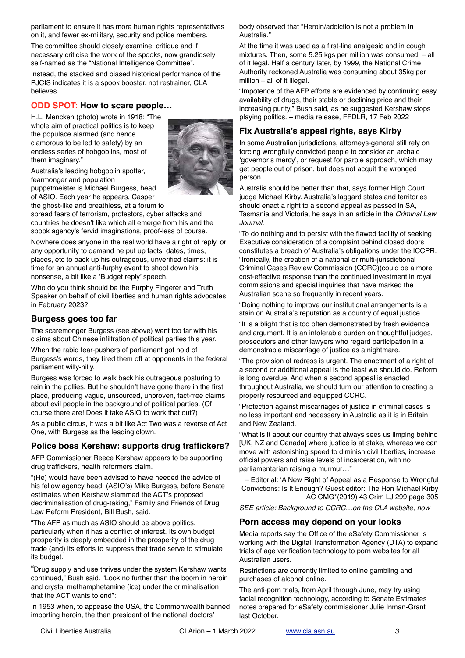parliament to ensure it has more human rights representatives on it, and fewer ex-military, security and police members.

The committee should closely examine, critique and if necessary criticise the work of the spooks, now grandiosely self-named as the "National Intelligence Committee".

Instead, the stacked and biased historical performance of the PJCIS indicates it is a spook booster, not restrainer, CLA believes.

## **ODD SPOT: How to scare people…**

H.L. Mencken (photo) wrote in 1918: "The whole aim of practical politics is to keep the populace alarmed (and hence clamorous to be led to safety) by an endless series of hobgoblins, most of them imaginary."



Australia's leading hobgoblin spotter, fearmonger and population puppetmeister is Michael Burgess, head

of ASIO. Each year he appears, Casper the ghost-like and breathless, at a forum to

spread fears of terrorism, protestors, cyber attacks and countries he doesn't like which all emerge from his and the spook agency's fervid imaginations, proof-less of course.

Nowhere does anyone in the real world have a right of reply, or any opportunity to demand he put up facts, dates, times, places, etc to back up his outrageous, unverified claims: it is time for an annual anti-furphy event to shoot down his nonsense, a bit like a 'Budget reply' speech.

Who do you think should be the Furphy Fingerer and Truth Speaker on behalf of civil liberties and human rights advocates in February 2023?

#### **Burgess goes too far**

The scaremonger Burgess (see above) went too far with his claims about Chinese infiltration of political parties this year.

When the rabid fear-pushers of parliament got hold of Burgess's words, they fired them off at opponents in the federal parliament willy-nilly.

Burgess was forced to walk back his outrageous posturing to rein in the pollies. But he shouldn't have gone there in the first place, producing vague, unsourced, unproven, fact-free claims about evil people in the background of political parties. (Of course there are! Does it take ASIO to work that out?)

As a public circus, it was a bit like Act Two was a reverse of Act One, with Burgess as the leading clown.

#### **Police boss Kershaw: supports drug traffickers?**

AFP Commissioner Reece Kershaw appears to be supporting drug traffickers, health reformers claim.

"(He) would have been advised to have heeded the advice of his fellow agency head, (ASIO's) Mike Burgess, before Senate estimates when Kershaw slammed the ACT's proposed decriminalisation of drug-taking," Family and Friends of Drug Law Reform President, Bill Bush, said.

"The AFP as much as ASIO should be above politics, particularly when it has a conflict of interest. Its own budget prosperity is deeply embedded in the prosperity of the drug trade (and) its efforts to suppress that trade serve to stimulate its budget.

"Drug supply and use thrives under the system Kershaw wants continued," Bush said. "Look no further than the boom in heroin and crystal methamphetamine (ice) under the criminalisation that the ACT wants to end":

In 1953 when, to appease the USA, the Commonwealth banned importing heroin, the then president of the national doctors'

body observed that "Heroin/addiction is not a problem in Australia."

At the time it was used as a first-line analgesic and in cough mixtures. Then, some 5.25 kgs per million was consumed – all of it legal. Half a century later, by 1999, the National Crime Authority reckoned Australia was consuming about 35kg per million – all of it illegal.

"Impotence of the AFP efforts are evidenced by continuing easy availability of drugs, their stable or declining price and their increasing purity," Bush said, as he suggested Kershaw stops playing politics. – media release, FFDLR, 17 Feb 2022

## **Fix Australia's appeal rights, says Kirby**

In some Australian jurisdictions, attorneys-general still rely on forcing wrongfully convicted people to consider an archaic 'governor's mercy', or request for parole approach, which may get people out of prison, but does not acquit the wronged person.

Australia should be better than that, says former High Court judge Michael Kirby. Australia's laggard states and territories should enact a right to a second appeal as passed in SA, Tasmania and Victoria, he says in an article in the *Criminal Law Journal*.

"To do nothing and to persist with the flawed facility of seeking Executive consideration of a complaint behind closed doors constitutes a breach of Australia's obligations under the ICCPR. "Ironically, the creation of a national or multi-jurisdictional Criminal Cases Review Commission (CCRC)(could be a more cost-effective response than the continued investment in royal commissions and special inquiries that have marked the Australian scene so frequently in recent years.

"Doing nothing to improve our institutional arrangements is a stain on Australia's reputation as a country of equal justice.

"It is a blight that is too often demonstrated by fresh evidence and argument. It is an intolerable burden on thoughtful judges, prosecutors and other lawyers who regard participation in a demonstrable miscarriage of justice as a nightmare.

"The provision of redress is urgent. The enactment of a right of a second or additional appeal is the least we should do. Reform is long overdue. And when a second appeal is enacted throughout Australia, we should turn our attention to creating a properly resourced and equipped CCRC.

"Protection against miscarriages of justice in criminal cases is no less important and necessary in Australia as it is in Britain and New Zealand.

"What is it about our country that always sees us limping behind [UK, NZ and Canada] where justice is at stake, whereas we can move with astonishing speed to diminish civil liberties, increase official powers and raise levels of incarceration, with no parliamentarian raising a murmur…"

– Editorial: 'A New Right of Appeal as a Response to Wrongful Convictions: Is It Enough? Guest editor: The Hon Michael Kirby AC CMG\*(2019) 43 Crim LJ 299 page 305

*SEE article: Background to CCRC…on the CLA website, now*

#### **Porn access may depend on your looks**

Media reports say the Office of the eSafety Commissioner is working with the Digital Transformation Agency (DTA) to expand trials of age verification technology to porn websites for all Australian users.

Restrictions are currently limited to online gambling and purchases of alcohol online.

The anti-porn trials, from April through June, may try using facial recognition technology, according to Senate Estimates notes prepared for eSafety commissioner Julie Inman-Grant last October.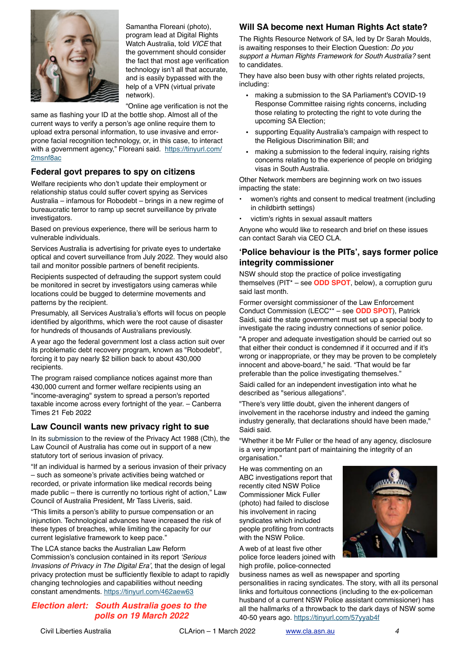

Samantha Floreani (photo), program lead at Digital Rights Watch Australia, told *VICE* that the government should consider the fact that most age verification technology isn't all that accurate, and is easily bypassed with the help of a VPN (virtual private network).

"Online age verification is not the

same as flashing your ID at the bottle shop. Almost all of the current ways to verify a person's age online require them to upload extra personal information, to use invasive and errorprone facial recognition technology, or, in this case, to interact with a government agency," Floreani said. [https://tinyurl.com/](https://tinyurl.com/2msnf8ac) [2msnf8ac](https://tinyurl.com/2msnf8ac)

# **Federal govt prepares to spy on citizens**

Welfare recipients who don't update their employment or relationship status could suffer covert spying as Services Australia – infamous for Robodebt – brings in a new regime of bureaucratic terror to ramp up secret surveillance by private investigators.

Based on previous experience, there will be serious harm to vulnerable individuals.

Services Australia is advertising for private eyes to undertake optical and covert surveillance from July 2022. They would also tail and monitor possible partners of benefit recipients.

Recipients suspected of defrauding the support system could be monitored in secret by investigators using cameras while locations could be bugged to determine movements and patterns by the recipient.

Presumably, all Services Australia's efforts will focus on people identified by algorithms, which were the root cause of disaster for hundreds of thousands of Australians previously.

A year ago the federal government lost a class action suit over its problematic debt recovery program, known as "Robodebt", forcing it to pay nearly \$2 billion back to about 430,000 recipients.

The program raised compliance notices against more than 430,000 current and former welfare recipients using an "income-averaging" system to spread a person's reported taxable income across every fortnight of the year. – Canberra Times 21 Feb 2022

## **Law Council wants new privacy right to sue**

In its submission to the review of the Privacy Act 1988 (Cth), the Law Council of Australia has come out in support of a new statutory tort of serious invasion of privacy.

"If an individual is harmed by a serious invasion of their privacy – such as someone's private activities being watched or recorded, or private information like medical records being made public – there is currently no tortious right of action," Law Council of Australia President, Mr Tass Liveris, said.

"This limits a person's ability to pursue compensation or an injunction. Technological advances have increased the risk of these types of breaches, while limiting the capacity for our current legislative framework to keep pace."

The LCA stance backs the Australian Law Reform Commission's conclusion contained in its report *'Serious Invasions of Privacy in The Digital Era'*, that the design of legal privacy protection must be sufficiently flexible to adapt to rapidly changing technologies and capabilities without needing constant amendments.<https://tinyurl.com/462aew63>

#### *Election alert: South Australia goes to the polls on 19 March 2022*

# **Will SA become next Human Rights Act state?**

The Rights Resource Network of SA, led by Dr Sarah Moulds, is awaiting responses to their Election Question: *Do you support a Human Rights Framework for South Australia?* sent to candidates.

They have also been busy with other rights related projects, including:

- making a submission to the SA Parliament's COVID-19 Response Committee raising rights concerns, including those relating to protecting the right to vote during the upcoming SA Election;
- supporting Equality Australia's campaign with respect to the Religious Discrimination Bill; and
- making a submission to the federal inquiry, raising rights concerns relating to the experience of people on bridging visas in South Australia.

Other Network members are beginning work on two issues impacting the state:

- women's rights and consent to medical treatment (including in childbirth settings)
- victim's rights in sexual assault matters

Anyone who would like to research and brief on these issues can contact Sarah via CEO CLA.

## **'Police behaviour is the PITs', says former police integrity commissioner**

NSW should stop the practice of police investigating themselves (PIT\* – see **ODD SPOT**, below), a corruption guru said last month.

Former oversight commissioner of the Law Enforcement Conduct Commission (LECC\*\* – see **ODD SPOT**), Patrick Saidi, said the state government must set up a special body to investigate the racing industry connections of senior police.

"A proper and adequate investigation should be carried out so that either their conduct is condemned if it occurred and if it's wrong or inappropriate, or they may be proven to be completely innocent and above-board," he said. "That would be far preferable than the police investigating themselves."

Saidi called for an independent investigation into what he described as "serious allegations".

"There's very little doubt, given the inherent dangers of involvement in the racehorse industry and indeed the gaming industry generally, that declarations should have been made," Saidi said.

"Whether it be Mr Fuller or the head of any agency, disclosure is a very important part of maintaining the integrity of an organisation."

He was commenting on an ABC investigations report that recently cited NSW Police Commissioner Mick Fuller (photo) had failed to disclose his involvement in racing syndicates which included people profiting from contracts with the NSW Police.

A web of at least five other police force leaders joined with high profile, police-connected



business names as well as newspaper and sporting personalities in racing syndicates. The story, with all its personal links and fortuitous connections (including to the ex-policeman husband of a current NSW Police assistant commissioner) has all the hallmarks of a throwback to the dark days of NSW some 40-50 years ago.<https://tinyurl.com/57yyab4f>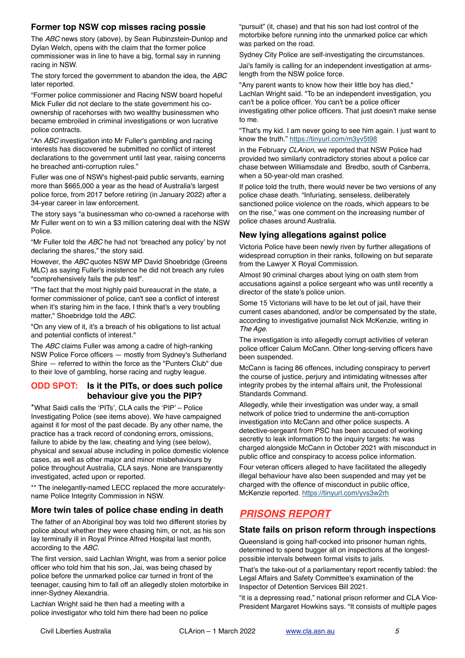## **Former top NSW cop misses racing possie**

The *ABC* news story (above), by Sean Rubinzstein-Dunlop and Dylan Welch, opens with the claim that the former police commissioner was in line to have a big, formal say in running racing in NSW.

The story forced the government to abandon the idea, the *ABC* later reported.

"Former police commissioner and Racing NSW board hopeful Mick Fuller did not declare to the state government his coownership of racehorses with two wealthy businessmen who became embroiled in criminal investigations or won lucrative police contracts.

"An *ABC* investigation into Mr Fuller's gambling and racing interests has discovered he submitted no conflict of interest declarations to the government until last year, raising concerns he breached anti-corruption rules."

Fuller was one of NSW's highest-paid public servants, earning more than \$665,000 a year as the head of Australia's largest police force, from 2017 before retiring (in January 2022) after a 34-year career in law enforcement.

The story says "a businessman who co-owned a racehorse with Mr Fuller went on to win a \$3 million catering deal with the NSW **Police** 

"Mr Fuller told the *ABC* he had not 'breached any policy' by not declaring the shares," the story said.

However, the *ABC* quotes NSW MP David Shoebridge (Greens MLC) as saying Fuller's insistence he did not breach any rules "comprehensively fails the pub test".

"The fact that the most highly paid bureaucrat in the state, a former commissioner of police, can't see a conflict of interest when it's staring him in the face. I think that's a very troubling matter," Shoebridge told the *ABC*.

"On any view of it, it's a breach of his obligations to list actual and potential conflicts of interest."

The *ABC* claims Fuller was among a cadre of high-ranking NSW Police Force officers — mostly from Sydney's Sutherland Shire — referred to within the force as the "Punters Club" due to their love of gambling, horse racing and rugby league.

#### **ODD SPOT: Is it the PITs, or does such police behaviour give you the PIP?**

\*What Saidi calls the 'PITs', CLA calls the 'PIP' – Police Investigating Police (see items above). We have campaigned against it for most of the past decade. By any other name, the practice has a track record of condoning errors, omissions, failure to abide by the law, cheating and lying (see below), physical and sexual abuse including in police domestic violence cases, as well as other major and minor misbehaviours by police throughout Australia, CLA says. None are transparently investigated, acted upon or reported.

\*\* The inelegantly-named LECC replaced the more accuratelyname Police Integrity Commission in NSW.

## **More twin tales of police chase ending in death**

The father of an Aboriginal boy was told two different stories by police about whether they were chasing him, or not, as his son lay terminally ill in Royal Prince Alfred Hospital last month, according to the *ABC.*

The first version, said Lachlan Wright, was from a senior police officer who told him that his son, Jai, was being chased by police before the unmarked police car turned in front of the teenager, causing him to fall off an allegedly stolen motorbike in inner-Sydney Alexandria.

Lachlan Wright said he then had a meeting with a police investigator who told him there had been no police

"pursuit" (it, chase) and that his son had lost control of the motorbike before running into the unmarked police car which was parked on the road.

Sydney City Police are self-investigating the circumstances.

Jai's family is calling for an independent investigation at armslength from the NSW police force.

"Any parent wants to know how their little boy has died," Lachlan Wright said. "To be an independent investigation, you can't be a police officer. You can't be a police officer investigating other police officers. That just doesn't make sense to me.

"That's my kid. I am never going to see him again. I just want to know the truth." <https://tinyurl.com/m3yv5t98>

in the February *CLArion*, we reported that NSW Police had provided two similarly contradictory stories about a police car chase between Williamsdale and Bredbo, south of Canberra, when a 50-year-old man crashed.

If police told the truth, there would never be two versions of any police chase death. "Infuriating, senseless, deliberately sanctioned police violence on the roads, which appears to be on the rise," was one comment on the increasing number of police chases around Australia.

## **New lying allegations against police**

Victoria Police have been newly riven by further allegations of widespread corruption in their ranks, following on but separate from the Lawyer X Royal Commission.

Almost 90 criminal charges about lying on oath stem from accusations against a police sergeant who was until recently a director of the state's police union.

Some 15 Victorians will have to be let out of jail, have their current cases abandoned, and/or be compensated by the state, according to investigative journalist Nick McKenzie, writing in *The Age*.

The investigation is into allegedly corrupt activities of veteran police officer Calum McCann. Other long-serving officers have been suspended.

McCann is facing 86 offences, including conspiracy to pervert the course of justice, perjury and intimidating witnesses after integrity probes by the internal affairs unit, the Professional Standards Command.

Allegedly, while their investigation was under way, a small network of police tried to undermine the anti-corruption investigation into McCann and other police suspects. A detective-sergeant from PSC has been accused of working secretly to leak information to the inquiry targets: he was charged alongside McCann in October 2021 with misconduct in public office and conspiracy to access police information.

Four veteran officers alleged to have facilitated the allegedly illegal behaviour have also been suspended and may yet be charged with the offence of misconduct in public office, McKenzie reported. <https://tinyurl.com/yvs3w2rh>

# *PRISONS REPORT*

## **State fails on prison reform through inspections**

Queensland is going half-cocked into prisoner human rights, determined to spend bugger all on inspections at the longestpossible intervals between formal visits to jails.

That's the take-out of a parliamentary report recently tabled: the Legal Affairs and Safety Committee's examination of the Inspector of Detention Services Bill 2021.

"it is a depressing read," national prison reformer and CLA Vice-President Margaret Howkins says. "It consists of multiple pages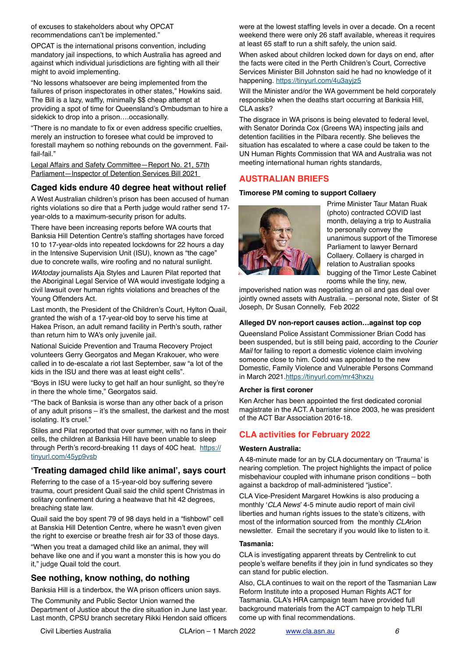of excuses to stakeholders about why OPCAT recommendations can't be implemented."

OPCAT is the international prisons convention, including mandatory jail inspections, to which Australia has agreed and against which individual jurisdictions are fighting with all their might to avoid implementing.

"No lessons whatsoever are being implemented from the failures of prison inspectorates in other states," Howkins said. The Bill is a lazy, waffly, minimally \$\$ cheap attempt at providing a spot of time for Queensland's Ombudsman to hire a sidekick to drop into a prison….occasionally.

"There is no mandate to fix or even address specific cruelties, merely an instruction to foresee what could be improved to forestall mayhem so nothing rebounds on the government. Failfail-fail."

[Legal Affairs and Safety Committee—Report No. 21, 57th](https://sclqld.us10.list-manage.com/track/click?u=6e0abbb7dbc4724cc399c587c&id=392f76131d&e=4b126fb751)  [Parliament—Inspector of Detention Services Bill 2021](https://sclqld.us10.list-manage.com/track/click?u=6e0abbb7dbc4724cc399c587c&id=392f76131d&e=4b126fb751) 

## **Caged kids endure 40 degree heat without relief**

A West Australian children's prison has been accused of human rights violations so dire that a Perth judge would rather send 17 year-olds to a maximum-security prison for adults.

There have been increasing reports before WA courts that Banksia Hill Detention Centre's staffing shortages have forced 10 to 17-year-olds into repeated lockdowns for 22 hours a day in the Intensive Supervision Unit (ISU), known as "the cage" due to concrete walls, wire roofing and no natural sunlight.

*WAtoday* journalists Aja Styles and Lauren Pilat reported that the Aboriginal Legal Service of WA would investigate lodging a civil lawsuit over human rights violations and breaches of the Young Offenders Act.

Last month, the President of the Children's Court, Hylton Quail, granted the wish of a 17-year-old boy to serve his time at Hakea Prison, an adult remand facility in Perth's south, rather than return him to WA's only juvenile jail.

National Suicide Prevention and Trauma Recovery Project volunteers Gerry Georgatos and Megan Krakouer, who were called in to de-escalate a riot last September, saw "a lot of the kids in the ISU and there was at least eight cells".

"Boys in ISU were lucky to get half an hour sunlight, so they're in there the whole time," Georgatos said.

"The back of Banksia is worse than any other back of a prison of any adult prisons – it's the smallest, the darkest and the most isolating. It's cruel."

Stiles and Pilat reported that over summer, with no fans in their cells, the children at Banksia Hill have been unable to sleep through Perth's record-breaking 11 days of 40C heat. [https://](https://tinyurl.com/45yp9vsb) [tinyurl.com/45yp9vsb](https://tinyurl.com/45yp9vsb)

## **'Treating damaged child like animal', says court**

Referring to the case of a 15-year-old boy suffering severe trauma, court president Quail said the child spent Christmas in solitary confinement during a heatwave that hit 42 degrees, breaching state law.

Quail said the boy spent 79 of 98 days held in a "fishbowl" cell at Banskia Hill Detention Centre, where he wasn't even given the right to exercise or breathe fresh air for 33 of those days.

"When you treat a damaged child like an animal, they will behave like one and if you want a monster this is how you do it," judge Quail told the court.

## **See nothing, know nothing, do nothing**

Banksia Hill is a tinderbox, the WA prison officers union says.

The Community and Public Sector Union warned the Department of Justice about the dire situation in June last year. Last month, CPSU branch secretary Rikki Hendon said officers were at the lowest staffing levels in over a decade. On a recent weekend there were only 26 staff available, whereas it requires at least 65 staff to run a shift safely, the union said.

When asked about children locked down for days on end, after the facts were cited in the Perth Children's Court, Corrective Services Minister Bill Johnston said he had no knowledge of it happening.<https://tinyurl.com/4u3ayjz5>

Will the Minister and/or the WA government be held corporately responsible when the deaths start occurring at Banksia Hill, CLA asks?

The disgrace in WA prisons is being elevated to federal level, with Senator Dorinda Cox (Greens WA) inspecting jails and detention facilities in the Pilbara recently. She believes the situation has escalated to where a case could be taken to the UN Human Rights Commission that WA and Australia was not meeting international human rights standards,

# **AUSTRALIAN BRIEFS**

#### **Timorese PM coming to support Collaery**



Prime Minister Taur Matan Ruak (photo) contracted COVID last month, delaying a trip to Australia to personally convey the unanimous support of the Timorese Parliament to lawyer Bernard Collaery. Collaery is charged in relation to Australian spooks bugging of the Timor Leste Cabinet rooms while the tiny, new,

impoverished nation was negotiating an oil and gas deal over jointly owned assets with Australia. – personal note, Sister of St Joseph, Dr Susan Connelly, Feb 2022

#### **Alleged DV non-report causes action…against top cop**

Queensland Police Assistant Commissioner Brian Codd has been suspended, but is still being paid, according to the *Courier Mail* for failing to report a domestic violence claim involving someone close to him. Codd was appointed to the new Domestic, Family Violence and Vulnerable Persons Command in March 2021.<https://tinyurl.com/mr43hxzu>

#### **Archer is first coroner**

Ken Archer has been appointed the first dedicated coronial magistrate in the ACT. A barrister since 2003, he was president of the ACT Bar Association 2016-18.

# **CLA activities for February 2022**

#### **Western Australia:**

A 48-minute made for an by CLA documentary on 'Trauma' is nearing completion. The project highlights the impact of police misbehaviour coupled with inhumane prison conditions – both against a backdrop of mall-administered "justice".

CLA Vice-President Margaret Howkins is also producing a monthly '*CLA News*' 4-5 minute audio report of main civil liberties and human rights issues to the state's citizens, with most of the information sourced from the monthly *CLA*rion newsletter. Email the secretary if you would like to listen to it.

#### **Tasmania:**

CLA is investigating apparent threats by Centrelink to cut people's welfare benefits if they join in fund syndicates so they can stand for public election.

Also, CLA continues to wait on the report of the Tasmanian Law Reform Institute into a proposed Human Rights ACT for Tasmania. CLA's HRA campaign team have provided full background materials from the ACT campaign to help TLRI come up with final recommendations.

Civil Liberties Australia CLArion – 1 March 2022 [www.cla.asn.au](http://www.cla.asn.au) *6*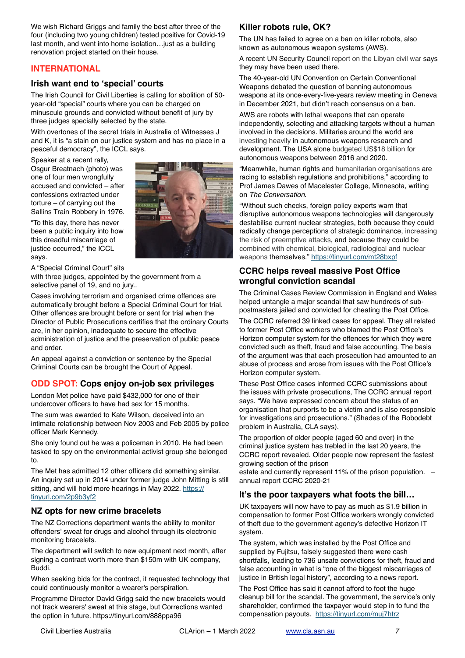We wish Richard Griggs and family the best after three of the four (including two young children) tested positive for Covid-19 last month, and went into home isolation…just as a building renovation project started on their house.

## **INTERNATIONAL**

#### **Irish want end to 'special' courts**

The Irish Council for Civil Liberties is calling for abolition of 50 year-old "special" courts where you can be charged on minuscule grounds and convicted without benefit of jury by three judges specially selected by the state.

With overtones of the secret trials in Australia of Witnesses J and K, it is "a stain on our justice system and has no place in a peaceful democracy", the ICCL says.

Speaker at a recent rally, Osgur Breatnach (photo) was one of four men wrongfully accused and convicted – after confessions extracted under torture – of carrying out the Sallins Train Robbery in 1976.

"To this day, there has never been a public inquiry into how this dreadful miscarriage of justice occurred," the ICCL says.



A "Special Criminal Court" sits

with three judges, appointed by the government from a selective panel of 19, and no jury..

Cases involving terrorism and organised crime offences are automatically brought before a Special Criminal Court for trial. Other offences are brought before or sent for trial when the Director of Public Prosecutions certifies that the ordinary Courts are, in her opinion, inadequate to secure the effective administration of justice and the preservation of public peace and order.

An appeal against a conviction or sentence by the Special Criminal Courts can be brought the Court of Appeal.

## **ODD SPOT: Cops enjoy on-job sex privileges**

London Met police have paid \$432,000 for one of their undercover officers to have had sex for 15 months.

The sum was awarded to Kate Wilson, deceived into an intimate relationship between Nov 2003 and Feb 2005 by police officer Mark Kennedy.

She only found out he was a policeman in 2010. He had been tasked to spy on the environmental activist group she belonged to.

The Met has admitted 12 other officers did something similar. An inquiry set up in 2014 under former judge John Mitting is still sitting, and will hold more hearings in May 2022. [https://](https://tinyurl.com/2p9b3yf2) [tinyurl.com/2p9b3yf2](https://tinyurl.com/2p9b3yf2)

## **NZ opts for new crime bracelets**

The NZ Corrections department wants the ability to monitor offenders' sweat for drugs and alcohol through its electronic monitoring bracelets.

The department will switch to new equipment next month, after signing a contract worth more than \$150m with UK company, Buddi.

When seeking bids for the contract, it requested technology that could continuously monitor a wearer's perspiration.

Programme Director David Grigg said the new bracelets would not track wearers' sweat at this stage, but Corrections wanted the option in future. https://tinyurl.com/888ppa96

# **Killer robots rule, OK?**

The UN has failed to agree on a ban on killer robots, also known as autonomous weapon systems (AWS).

A recent UN Security Council report on the Libyan civil war says they may have been used there.

The 40-year-old UN Convention on Certain Conventional Weapons debated the question of banning autonomous weapons at its once-every-five-years review meeting in Geneva in December 2021, but didn't reach consensus on a ban.

AWS are robots with lethal weapons that can operate independently, selecting and attacking targets without a human involved in the decisions. Militaries around the world are investing heavily in autonomous weapons research and development. The USA alone budgeted US\$18 billion for autonomous weapons between 2016 and 2020.

"Meanwhile, human rights and humanitarian organisations are racing to establish regulations and prohibitions," according to Prof James Dawes of Macelester College, Minnesota, writing on *The Conversation*.

"Without such checks, foreign policy experts warn that disruptive autonomous weapons technologies will dangerously destabilise current nuclear strategies, both because they could radically change perceptions of strategic dominance, increasing the risk of preemptive attacks, and because they could be combined with chemical, biological, radiological and nuclear weapons themselves." <https://tinyurl.com/mt28bxpf>

## **CCRC helps reveal massive Post Office wrongful conviction scandal**

The Criminal Cases Review Commission in England and Wales helped untangle a major scandal that saw hundreds of subpostmasters jailed and convicted for cheating the Post Office.

The CCRC referred 39 linked cases for appeal. They all related to former Post Office workers who blamed the Post Office's Horizon computer system for the offences for which they were convicted such as theft, fraud and false accounting. The basis of the argument was that each prosecution had amounted to an abuse of process and arose from issues with the Post Office's Horizon computer system.

These Post Office cases informed CCRC submissions about the issues with private prosecutions, The CCRC annual report says. "We have expressed concern about the status of an organisation that purports to be a victim and is also responsible for investigations and prosecutions." (Shades of the Robodebt problem in Australia, CLA says).

The proportion of older people (aged 60 and over) in the criminal justice system has trebled in the last 20 years, the CCRC report revealed. Older people now represent the fastest growing section of the prison

estate and currently represent 11% of the prison population. – annual report CCRC 2020-21

## **It's the poor taxpayers what foots the bill…**

UK taxpayers will now have to pay as much as \$1.9 billion in compensation to former Post Office workers wrongly convicted of theft due to the government agency's defective Horizon IT system.

The system, which was installed by the Post Office and supplied by Fujitsu, falsely suggested there were cash shortfalls, leading to 736 unsafe convictions for theft, fraud and false accounting in what is "one of the biggest miscarriages of justice in British legal history", according to a news report.

The Post Office has said it cannot afford to foot the huge cleanup bill for the scandal. The government, the service's only shareholder, confirmed the taxpayer would step in to fund the compensation payouts. <https://tinyurl.com/muj7htrz>